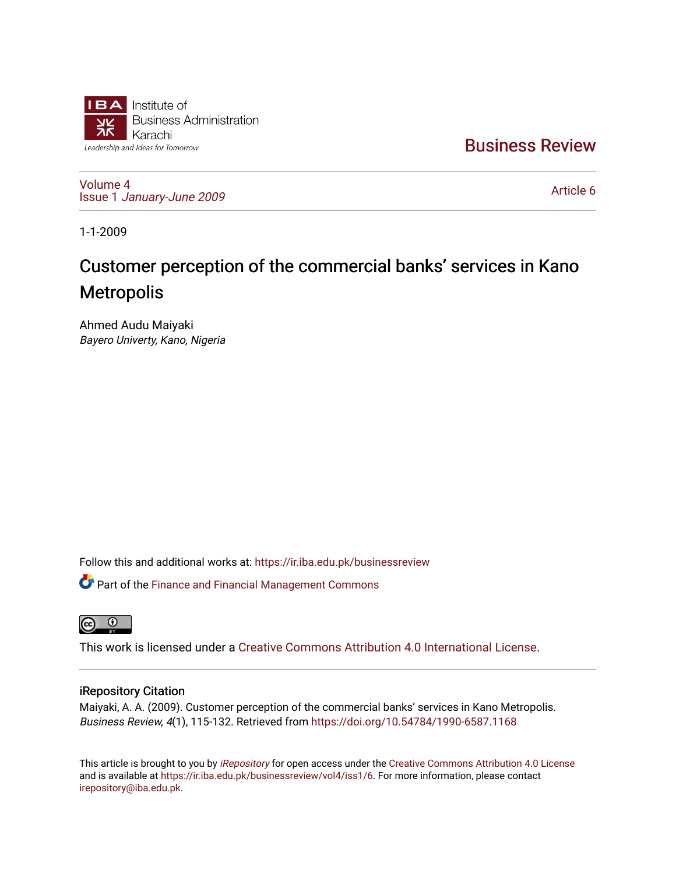

[Business Review](https://ir.iba.edu.pk/businessreview) 

[Volume 4](https://ir.iba.edu.pk/businessreview/vol4) Issue 1 [January-June 2009](https://ir.iba.edu.pk/businessreview/vol4/iss1) 

[Article 6](https://ir.iba.edu.pk/businessreview/vol4/iss1/6) 

1-1-2009

# Customer perception of the commercial banks' services in Kano **Metropolis**

Ahmed Audu Maiyaki Bayero Univerty, Kano, Nigeria

Follow this and additional works at: [https://ir.iba.edu.pk/businessreview](https://ir.iba.edu.pk/businessreview?utm_source=ir.iba.edu.pk%2Fbusinessreview%2Fvol4%2Fiss1%2F6&utm_medium=PDF&utm_campaign=PDFCoverPages) 

Part of the [Finance and Financial Management Commons](http://network.bepress.com/hgg/discipline/631?utm_source=ir.iba.edu.pk%2Fbusinessreview%2Fvol4%2Fiss1%2F6&utm_medium=PDF&utm_campaign=PDFCoverPages) 



This work is licensed under a [Creative Commons Attribution 4.0 International License](https://creativecommons.org/licenses/by/4.0/).

### iRepository Citation

Maiyaki, A. A. (2009). Customer perception of the commercial banks' services in Kano Metropolis. Business Review, 4(1), 115-132. Retrieved from<https://doi.org/10.54784/1990-6587.1168>

This article is brought to you by [iRepository](https://ir.iba.edu.pk/) for open access under the Creative Commons Attribution 4.0 License and is available at [https://ir.iba.edu.pk/businessreview/vol4/iss1/6.](https://ir.iba.edu.pk/businessreview/vol4/iss1/6) For more information, please contact [irepository@iba.edu.pk.](mailto:irepository@iba.edu.pk)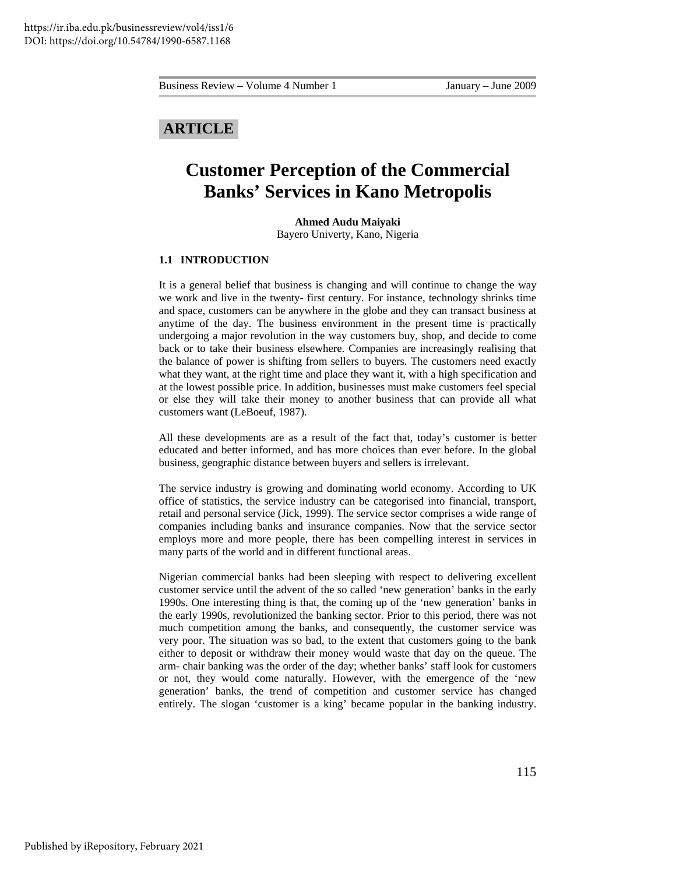## **ARTICLE**

## **Customer Perception of the Commercial Banks' Services in Kano Metropolis**

#### **Ahmed Audu Maiyaki**

Bayero Univerty, Kano, Nigeria

#### **1.1 INTRODUCTION**

It is a general belief that business is changing and will continue to change the way we work and live in the twenty- first century. For instance, technology shrinks time and space, customers can be anywhere in the globe and they can transact business at anytime of the day. The business environment in the present time is practically undergoing a major revolution in the way customers buy, shop, and decide to come back or to take their business elsewhere. Companies are increasingly realising that the balance of power is shifting from sellers to buyers. The customers need exactly what they want, at the right time and place they want it, with a high specification and at the lowest possible price. In addition, businesses must make customers feel special or else they will take their money to another business that can provide all what customers want (LeBoeuf, 1987).

All these developments are as a result of the fact that, today's customer is better educated and better informed, and has more choices than ever before. In the global business, geographic distance between buyers and sellers is irrelevant.

The service industry is growing and dominating world economy. According to UK office of statistics, the service industry can be categorised into financial, transport, retail and personal service (Jick, 1999). The service sector comprises a wide range of companies including banks and insurance companies. Now that the service sector employs more and more people, there has been compelling interest in services in many parts of the world and in different functional areas.

Nigerian commercial banks had been sleeping with respect to delivering excellent customer service until the advent of the so called 'new generation' banks in the early 1990s. One interesting thing is that, the coming up of the 'new generation' banks in the early 1990s, revolutionized the banking sector. Prior to this period, there was not much competition among the banks, and consequently, the customer service was very poor. The situation was so bad, to the extent that customers going to the bank either to deposit or withdraw their money would waste that day on the queue. The arm- chair banking was the order of the day; whether banks' staff look for customers or not, they would come naturally. However, with the emergence of the 'new generation' banks, the trend of competition and customer service has changed entirely. The slogan 'customer is a king' became popular in the banking industry.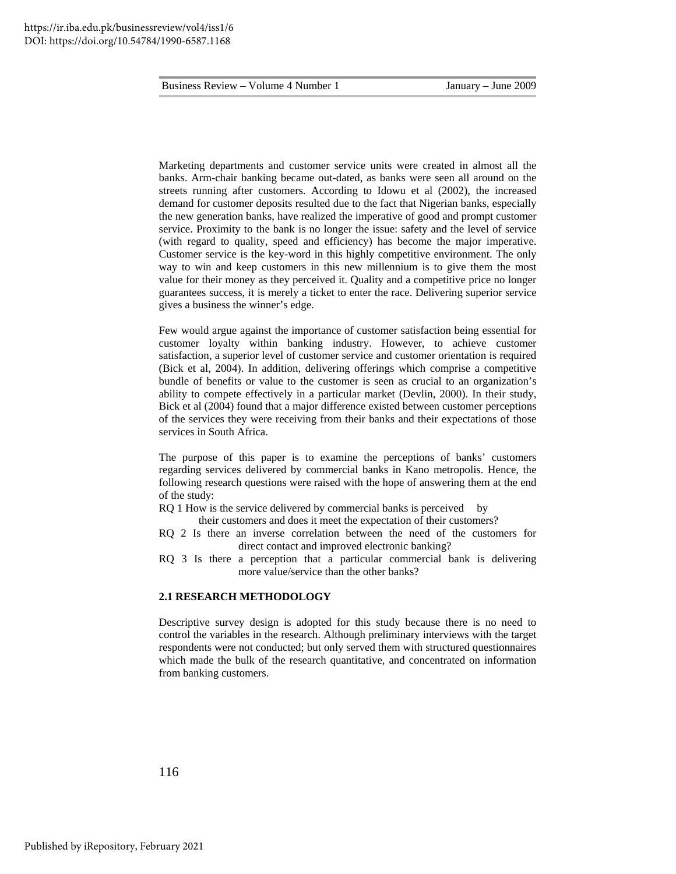Marketing departments and customer service units were created in almost all the banks. Arm-chair banking became out-dated, as banks were seen all around on the streets running after customers. According to Idowu et al (2002), the increased demand for customer deposits resulted due to the fact that Nigerian banks, especially the new generation banks, have realized the imperative of good and prompt customer service. Proximity to the bank is no longer the issue: safety and the level of service (with regard to quality, speed and efficiency) has become the major imperative. Customer service is the key-word in this highly competitive environment. The only way to win and keep customers in this new millennium is to give them the most value for their money as they perceived it. Quality and a competitive price no longer guarantees success, it is merely a ticket to enter the race. Delivering superior service gives a business the winner's edge.

Few would argue against the importance of customer satisfaction being essential for customer loyalty within banking industry. However, to achieve customer satisfaction, a superior level of customer service and customer orientation is required (Bick et al, 2004). In addition, delivering offerings which comprise a competitive bundle of benefits or value to the customer is seen as crucial to an organization's ability to compete effectively in a particular market (Devlin, 2000). In their study, Bick et al (2004) found that a major difference existed between customer perceptions of the services they were receiving from their banks and their expectations of those services in South Africa.

The purpose of this paper is to examine the perceptions of banks' customers regarding services delivered by commercial banks in Kano metropolis. Hence, the following research questions were raised with the hope of answering them at the end of the study:

- RQ 1 How is the service delivered by commercial banks is perceived by
- their customers and does it meet the expectation of their customers?
- RQ 2 Is there an inverse correlation between the need of the customers for direct contact and improved electronic banking?
- RQ 3 Is there a perception that a particular commercial bank is delivering more value/service than the other banks?

#### **2.1 RESEARCH METHODOLOGY**

Descriptive survey design is adopted for this study because there is no need to control the variables in the research. Although preliminary interviews with the target respondents were not conducted; but only served them with structured questionnaires which made the bulk of the research quantitative, and concentrated on information from banking customers.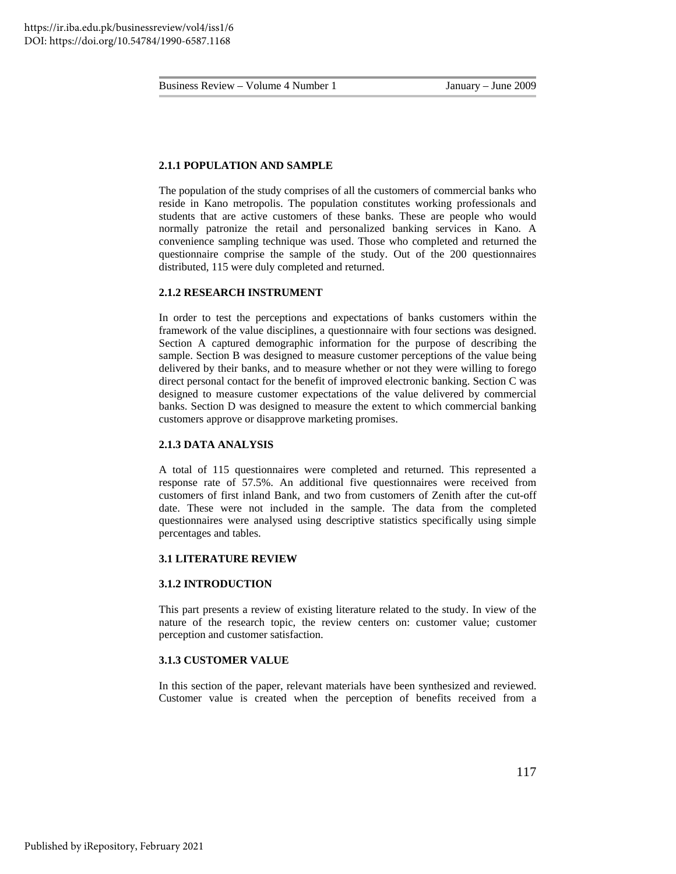#### **2.1.1 POPULATION AND SAMPLE**

The population of the study comprises of all the customers of commercial banks who reside in Kano metropolis. The population constitutes working professionals and students that are active customers of these banks. These are people who would normally patronize the retail and personalized banking services in Kano. A convenience sampling technique was used. Those who completed and returned the questionnaire comprise the sample of the study. Out of the 200 questionnaires distributed, 115 were duly completed and returned.

#### **2.1.2 RESEARCH INSTRUMENT**

In order to test the perceptions and expectations of banks customers within the framework of the value disciplines, a questionnaire with four sections was designed. Section A captured demographic information for the purpose of describing the sample. Section B was designed to measure customer perceptions of the value being delivered by their banks, and to measure whether or not they were willing to forego direct personal contact for the benefit of improved electronic banking. Section C was designed to measure customer expectations of the value delivered by commercial banks. Section D was designed to measure the extent to which commercial banking customers approve or disapprove marketing promises.

#### **2.1.3 DATA ANALYSIS**

A total of 115 questionnaires were completed and returned. This represented a response rate of 57.5%. An additional five questionnaires were received from customers of first inland Bank, and two from customers of Zenith after the cut-off date. These were not included in the sample. The data from the completed questionnaires were analysed using descriptive statistics specifically using simple percentages and tables.

#### **3.1 LITERATURE REVIEW**

#### **3.1.2 INTRODUCTION**

This part presents a review of existing literature related to the study. In view of the nature of the research topic, the review centers on: customer value; customer perception and customer satisfaction.

#### **3.1.3 CUSTOMER VALUE**

In this section of the paper, relevant materials have been synthesized and reviewed. Customer value is created when the perception of benefits received from a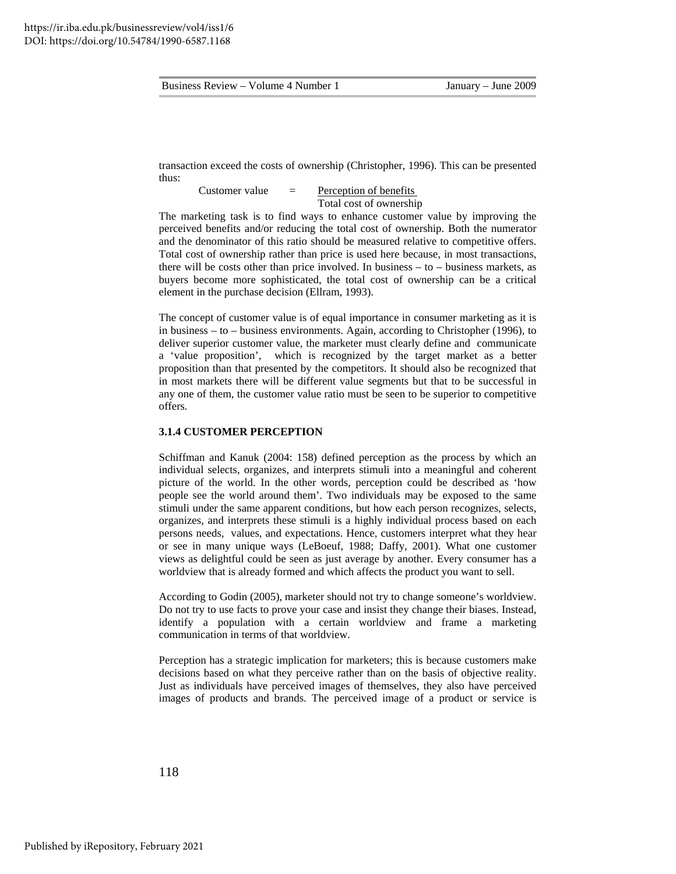transaction exceed the costs of ownership (Christopher, 1996). This can be presented thus:

Customer value  $=$  <u>Perception of benefits</u> Total cost of ownership

The marketing task is to find ways to enhance customer value by improving the perceived benefits and/or reducing the total cost of ownership. Both the numerator and the denominator of this ratio should be measured relative to competitive offers. Total cost of ownership rather than price is used here because, in most transactions, there will be costs other than price involved. In business  $-$  to  $-$  business markets, as buyers become more sophisticated, the total cost of ownership can be a critical element in the purchase decision (Ellram, 1993).

The concept of customer value is of equal importance in consumer marketing as it is in business – to – business environments. Again, according to Christopher (1996), to deliver superior customer value, the marketer must clearly define and communicate a 'value proposition', which is recognized by the target market as a better proposition than that presented by the competitors. It should also be recognized that in most markets there will be different value segments but that to be successful in any one of them, the customer value ratio must be seen to be superior to competitive offers.

#### **3.1.4 CUSTOMER PERCEPTION**

Schiffman and Kanuk (2004: 158) defined perception as the process by which an individual selects, organizes, and interprets stimuli into a meaningful and coherent picture of the world. In the other words, perception could be described as 'how people see the world around them'. Two individuals may be exposed to the same stimuli under the same apparent conditions, but how each person recognizes, selects, organizes, and interprets these stimuli is a highly individual process based on each persons needs, values, and expectations. Hence, customers interpret what they hear or see in many unique ways (LeBoeuf, 1988; Daffy, 2001). What one customer views as delightful could be seen as just average by another. Every consumer has a worldview that is already formed and which affects the product you want to sell.

According to Godin (2005), marketer should not try to change someone's worldview. Do not try to use facts to prove your case and insist they change their biases. Instead, identify a population with a certain worldview and frame a marketing communication in terms of that worldview.

Perception has a strategic implication for marketers; this is because customers make decisions based on what they perceive rather than on the basis of objective reality. Just as individuals have perceived images of themselves, they also have perceived images of products and brands. The perceived image of a product or service is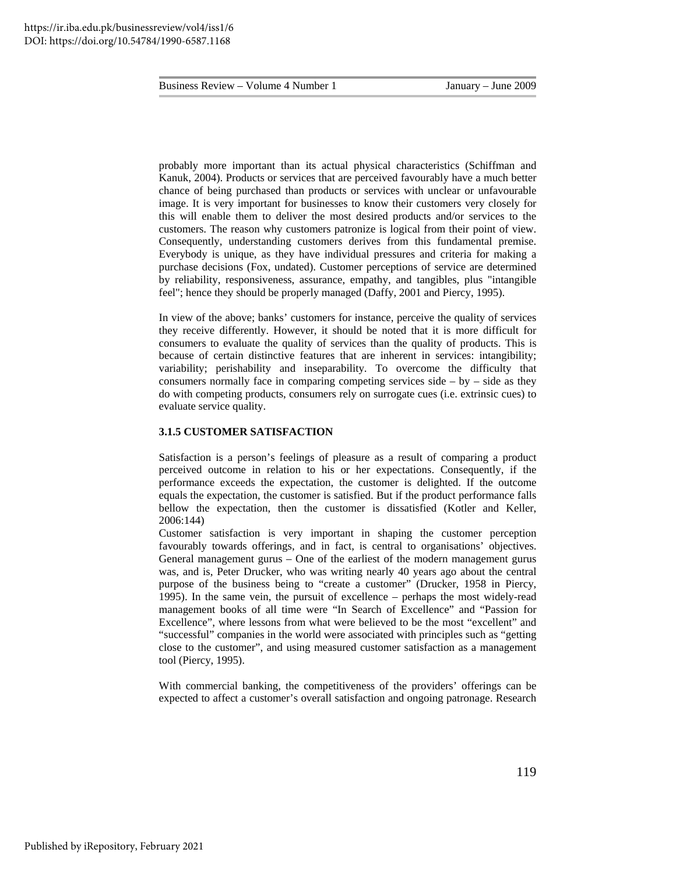probably more important than its actual physical characteristics (Schiffman and Kanuk, 2004). Products or services that are perceived favourably have a much better chance of being purchased than products or services with unclear or unfavourable image. It is very important for businesses to know their customers very closely for this will enable them to deliver the most desired products and/or services to the customers. The reason why customers patronize is logical from their point of view. Consequently, understanding customers derives from this fundamental premise. Everybody is unique, as they have individual pressures and criteria for making a purchase decisions (Fox, undated). Customer perceptions of service are determined by reliability, responsiveness, assurance, empathy, and tangibles, plus "intangible feel"; hence they should be properly managed (Daffy, 2001 and Piercy, 1995).

In view of the above; banks' customers for instance, perceive the quality of services they receive differently. However, it should be noted that it is more difficult for consumers to evaluate the quality of services than the quality of products. This is because of certain distinctive features that are inherent in services: intangibility; variability; perishability and inseparability. To overcome the difficulty that consumers normally face in comparing competing services side  $-$  by  $-$  side as they do with competing products, consumers rely on surrogate cues (i.e. extrinsic cues) to evaluate service quality.

#### **3.1.5 CUSTOMER SATISFACTION**

Satisfaction is a person's feelings of pleasure as a result of comparing a product perceived outcome in relation to his or her expectations. Consequently, if the performance exceeds the expectation, the customer is delighted. If the outcome equals the expectation, the customer is satisfied. But if the product performance falls bellow the expectation, then the customer is dissatisfied (Kotler and Keller, 2006:144)

Customer satisfaction is very important in shaping the customer perception favourably towards offerings, and in fact, is central to organisations' objectives. General management gurus – One of the earliest of the modern management gurus was, and is, Peter Drucker, who was writing nearly 40 years ago about the central purpose of the business being to "create a customer" (Drucker, 1958 in Piercy, 1995). In the same vein, the pursuit of excellence – perhaps the most widely-read management books of all time were "In Search of Excellence" and "Passion for Excellence", where lessons from what were believed to be the most "excellent" and "successful" companies in the world were associated with principles such as "getting close to the customer", and using measured customer satisfaction as a management tool (Piercy, 1995).

With commercial banking, the competitiveness of the providers' offerings can be expected to affect a customer's overall satisfaction and ongoing patronage. Research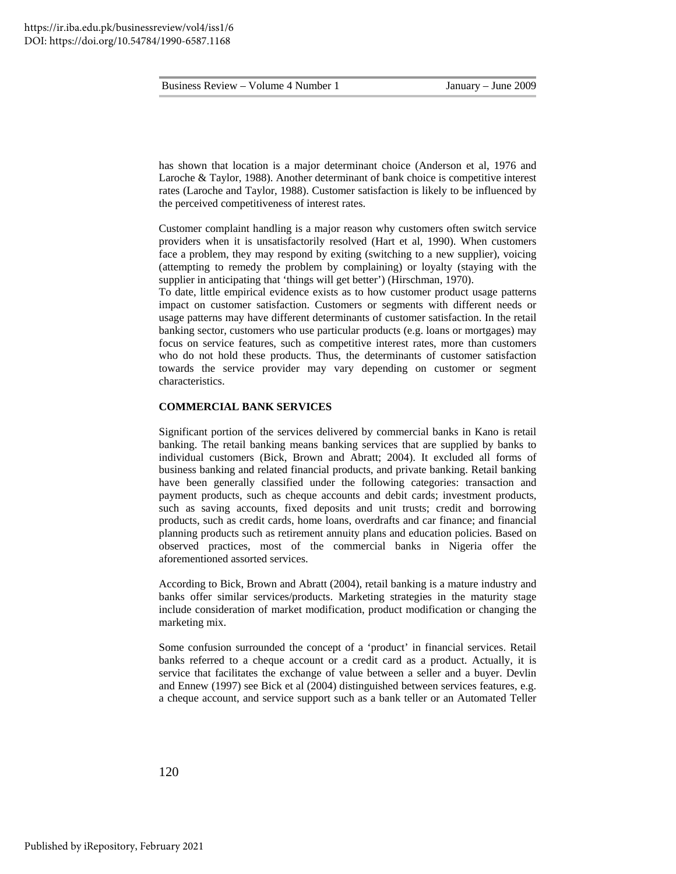has shown that location is a major determinant choice (Anderson et al, 1976 and Laroche & Taylor, 1988). Another determinant of bank choice is competitive interest rates (Laroche and Taylor, 1988). Customer satisfaction is likely to be influenced by the perceived competitiveness of interest rates.

Customer complaint handling is a major reason why customers often switch service providers when it is unsatisfactorily resolved (Hart et al, 1990). When customers face a problem, they may respond by exiting (switching to a new supplier), voicing (attempting to remedy the problem by complaining) or loyalty (staying with the supplier in anticipating that 'things will get better') (Hirschman, 1970).

To date, little empirical evidence exists as to how customer product usage patterns impact on customer satisfaction. Customers or segments with different needs or usage patterns may have different determinants of customer satisfaction. In the retail banking sector, customers who use particular products (e.g. loans or mortgages) may focus on service features, such as competitive interest rates, more than customers who do not hold these products. Thus, the determinants of customer satisfaction towards the service provider may vary depending on customer or segment characteristics.

#### **COMMERCIAL BANK SERVICES**

Significant portion of the services delivered by commercial banks in Kano is retail banking. The retail banking means banking services that are supplied by banks to individual customers (Bick, Brown and Abratt; 2004). It excluded all forms of business banking and related financial products, and private banking. Retail banking have been generally classified under the following categories: transaction and payment products, such as cheque accounts and debit cards; investment products, such as saving accounts, fixed deposits and unit trusts; credit and borrowing products, such as credit cards, home loans, overdrafts and car finance; and financial planning products such as retirement annuity plans and education policies. Based on observed practices, most of the commercial banks in Nigeria offer the aforementioned assorted services.

According to Bick, Brown and Abratt (2004), retail banking is a mature industry and banks offer similar services/products. Marketing strategies in the maturity stage include consideration of market modification, product modification or changing the marketing mix.

Some confusion surrounded the concept of a 'product' in financial services. Retail banks referred to a cheque account or a credit card as a product. Actually, it is service that facilitates the exchange of value between a seller and a buyer. Devlin and Ennew (1997) see Bick et al (2004) distinguished between services features, e.g. a cheque account, and service support such as a bank teller or an Automated Teller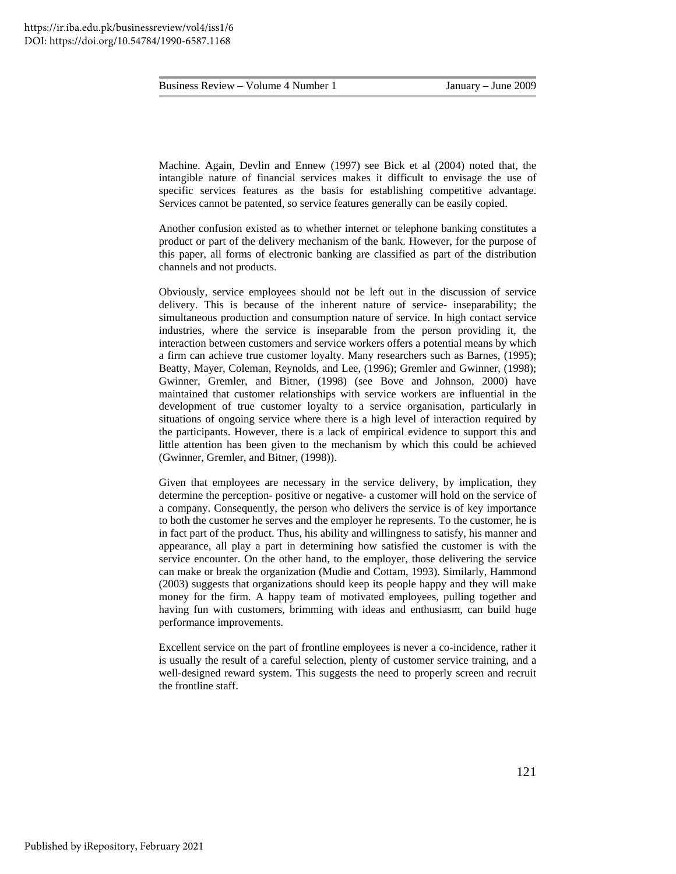Machine. Again, Devlin and Ennew (1997) see Bick et al (2004) noted that, the intangible nature of financial services makes it difficult to envisage the use of specific services features as the basis for establishing competitive advantage. Services cannot be patented, so service features generally can be easily copied.

Another confusion existed as to whether internet or telephone banking constitutes a product or part of the delivery mechanism of the bank. However, for the purpose of this paper, all forms of electronic banking are classified as part of the distribution channels and not products.

Obviously, service employees should not be left out in the discussion of service delivery. This is because of the inherent nature of service- inseparability; the simultaneous production and consumption nature of service. In high contact service industries, where the service is inseparable from the person providing it, the interaction between customers and service workers offers a potential means by which a firm can achieve true customer loyalty. Many researchers such as Barnes, (1995); Beatty, Mayer, Coleman, Reynolds, and Lee, (1996); Gremler and Gwinner, (1998); Gwinner, Gremler, and Bitner, (1998) (see Bove and Johnson, 2000) have maintained that customer relationships with service workers are influential in the development of true customer loyalty to a service organisation, particularly in situations of ongoing service where there is a high level of interaction required by the participants. However, there is a lack of empirical evidence to support this and little attention has been given to the mechanism by which this could be achieved (Gwinner, Gremler, and Bitner, (1998)).

Given that employees are necessary in the service delivery, by implication, they determine the perception- positive or negative- a customer will hold on the service of a company. Consequently, the person who delivers the service is of key importance to both the customer he serves and the employer he represents. To the customer, he is in fact part of the product. Thus, his ability and willingness to satisfy, his manner and appearance, all play a part in determining how satisfied the customer is with the service encounter. On the other hand, to the employer, those delivering the service can make or break the organization (Mudie and Cottam, 1993). Similarly, Hammond (2003) suggests that organizations should keep its people happy and they will make money for the firm. A happy team of motivated employees, pulling together and having fun with customers, brimming with ideas and enthusiasm, can build huge performance improvements.

Excellent service on the part of frontline employees is never a co-incidence, rather it is usually the result of a careful selection, plenty of customer service training, and a well-designed reward system. This suggests the need to properly screen and recruit the frontline staff.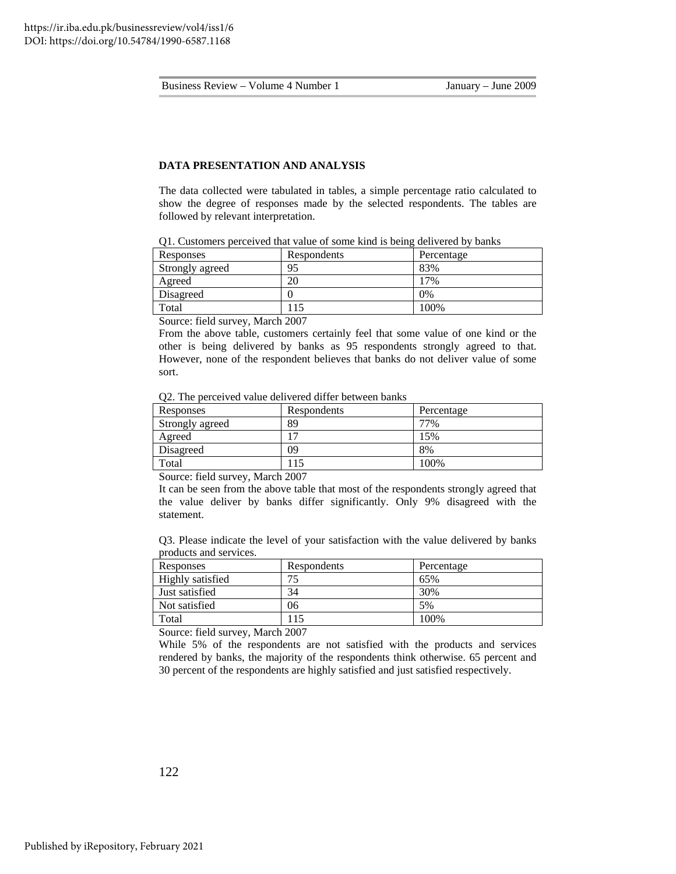#### **DATA PRESENTATION AND ANALYSIS**

The data collected were tabulated in tables, a simple percentage ratio calculated to show the degree of responses made by the selected respondents. The tables are followed by relevant interpretation.

| OT. Casionicis perceived that value of some kind is being defivered by banks |             |            |  |
|------------------------------------------------------------------------------|-------------|------------|--|
| Responses                                                                    | Respondents | Percentage |  |
| Strongly agreed                                                              | 95          | 83%        |  |
| Agreed                                                                       | 20          | 17%        |  |

Q1. Customers perceived that value of some kind is being delivered by banks

Source: field survey, March 2007

From the above table, customers certainly feel that some value of one kind or the other is being delivered by banks as 95 respondents strongly agreed to that. However, none of the respondent believes that banks do not deliver value of some sort.

Q2. The perceived value delivered differ between banks

Disagreed 0 0% Total 115 100%

| Responses       | Respondents | Percentage |
|-----------------|-------------|------------|
| Strongly agreed | 89          | 77%        |
| Agreed          |             | .5%        |
| Disagreed       | 09          | 8%         |
| Total           | 15          | 100%       |

Source: field survey, March 2007

It can be seen from the above table that most of the respondents strongly agreed that the value deliver by banks differ significantly. Only 9% disagreed with the statement.

Q3. Please indicate the level of your satisfaction with the value delivered by banks products and services.

| Responses        | Respondents | Percentage |
|------------------|-------------|------------|
| Highly satisfied | 74          | 65%        |
| Just satisfied   | 34          | 30%        |
| Not satisfied    | 06          | 5%         |
| Total            |             | 100%       |

Source: field survey, March 2007

While 5% of the respondents are not satisfied with the products and services rendered by banks, the majority of the respondents think otherwise. 65 percent and 30 percent of the respondents are highly satisfied and just satisfied respectively.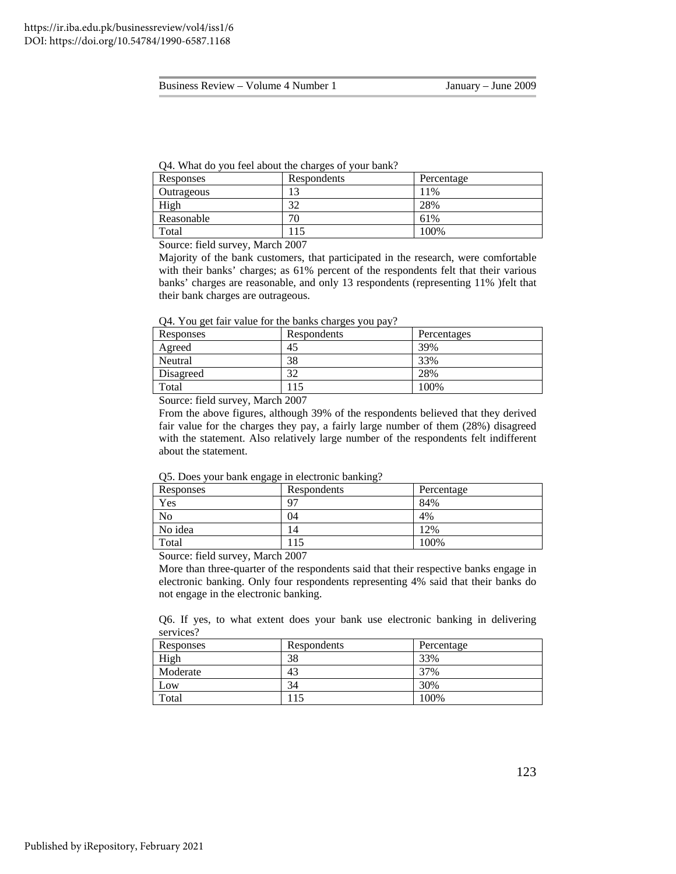Q4. What do you feel about the charges of your bank?

| Responses  | Respondents | Percentage |
|------------|-------------|------------|
| Outrageous |             | 11%        |
| High       | 20          | 28%        |
| Reasonable | 70          | 61%        |
| Total      | 15          | 100%       |

Source: field survey, March 2007

Majority of the bank customers, that participated in the research, were comfortable with their banks' charges; as 61% percent of the respondents felt that their various banks' charges are reasonable, and only 13 respondents (representing 11% )felt that their bank charges are outrageous.

Q4. You get fair value for the banks charges you pay?

| Responses | Respondents | Percentages |
|-----------|-------------|-------------|
| Agreed    | 45          | 39%         |
| Neutral   | 38          | 33%         |
| Disagreed | ີ<br>32     | 28%         |
| Total     |             | 100%        |

Source: field survey, March 2007

From the above figures, although 39% of the respondents believed that they derived fair value for the charges they pay, a fairly large number of them (28%) disagreed with the statement. Also relatively large number of the respondents felt indifferent about the statement.

Q5. Does your bank engage in electronic banking?

| - -<br>Responses | Respondents | Percentage |
|------------------|-------------|------------|
| Yes              | $9^{\circ}$ | 84%        |
| No               | 04          | 4%         |
| No idea          | ۱4          | 12%        |
| Total            |             | 100%       |

Source: field survey, March 2007

More than three-quarter of the respondents said that their respective banks engage in electronic banking. Only four respondents representing 4% said that their banks do not engage in the electronic banking.

Q6. If yes, to what extent does your bank use electronic banking in delivering services?

| Responses | Respondents | Percentage |
|-----------|-------------|------------|
| High      | 38          | 33%        |
| Moderate  | 43          | 37%        |
| Low       | 34          | 30%        |
| Total     |             | 100%       |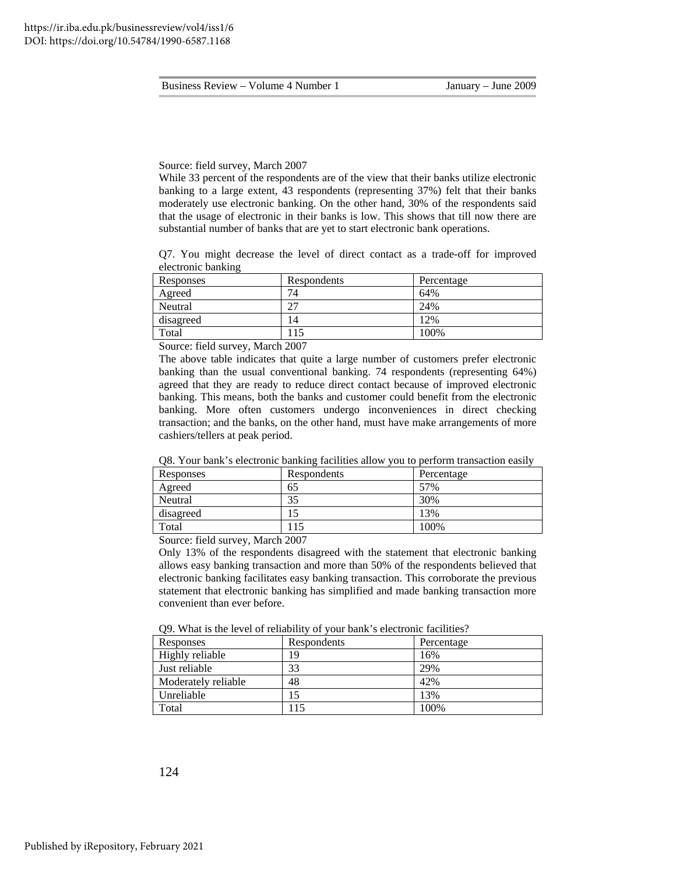#### Source: field survey, March 2007

While 33 percent of the respondents are of the view that their banks utilize electronic banking to a large extent, 43 respondents (representing 37%) felt that their banks moderately use electronic banking. On the other hand, 30% of the respondents said that the usage of electronic in their banks is low. This shows that till now there are substantial number of banks that are yet to start electronic bank operations.

Q7. You might decrease the level of direct contact as a trade-off for improved electronic banking

| Responses | Respondents | Percentage |
|-----------|-------------|------------|
| Agreed    | 74          | 64%        |
| Neutral   |             | 24%        |
| disagreed | 4           | 12%        |
| Total     |             | 100%       |

Source: field survey, March 2007

The above table indicates that quite a large number of customers prefer electronic banking than the usual conventional banking. 74 respondents (representing 64%) agreed that they are ready to reduce direct contact because of improved electronic banking. This means, both the banks and customer could benefit from the electronic banking. More often customers undergo inconveniences in direct checking transaction; and the banks, on the other hand, must have make arrangements of more cashiers/tellers at peak period.

Q8. Your bank's electronic banking facilities allow you to perform transaction easily

| Responses | Respondents | Percentage |
|-----------|-------------|------------|
| Agreed    | 65          | 57%        |
| Neutral   | 35          | 30%        |
| disagreed |             | 13%        |
| Total     |             | 100%       |

Source: field survey, March 2007

Only 13% of the respondents disagreed with the statement that electronic banking allows easy banking transaction and more than 50% of the respondents believed that electronic banking facilitates easy banking transaction. This corroborate the previous statement that electronic banking has simplified and made banking transaction more convenient than ever before.

| Responses           | Respondents | Percentage |
|---------------------|-------------|------------|
| Highly reliable     | 19          | 16%        |
| Just reliable       | 33          | 29%        |
| Moderately reliable | 48          | 42%        |
| Unreliable          |             | 13%        |
| Total               | 15          | 100%       |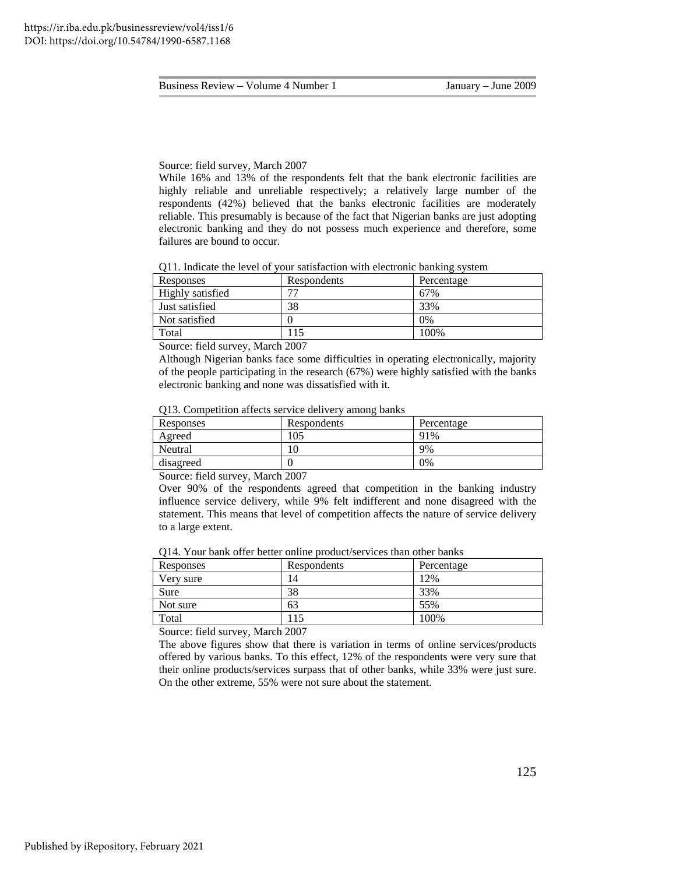#### Source: field survey, March 2007

While 16% and 13% of the respondents felt that the bank electronic facilities are highly reliable and unreliable respectively; a relatively large number of the respondents (42%) believed that the banks electronic facilities are moderately reliable. This presumably is because of the fact that Nigerian banks are just adopting electronic banking and they do not possess much experience and therefore, some failures are bound to occur.

Q11. Indicate the level of your satisfaction with electronic banking system

| Responses                                | Respondents | Percentage |
|------------------------------------------|-------------|------------|
| Highly satisfied                         | −           | 67%        |
| Just satisfied                           | 38          | 33%        |
| Not satisfied                            |             | 0%         |
| Total                                    |             | 100%       |
| the contract of the contract of the con- |             |            |

Source: field survey, March 2007

Although Nigerian banks face some difficulties in operating electronically, majority of the people participating in the research (67%) were highly satisfied with the banks electronic banking and none was dissatisfied with it.

|  |  |  |  |  |  |  | Q13. Competition affects service delivery among banks |
|--|--|--|--|--|--|--|-------------------------------------------------------|
|--|--|--|--|--|--|--|-------------------------------------------------------|

| Responses             | Respondents | Percentage |
|-----------------------|-------------|------------|
| Agreed                | 105         | 91%        |
| Neutral               |             | 9%         |
| disagreed             |             | 0%         |
| ---<br>$\sim$<br>$ -$ | - - - - -   |            |

Source: field survey, March 2007

Over 90% of the respondents agreed that competition in the banking industry influence service delivery, while 9% felt indifferent and none disagreed with the statement. This means that level of competition affects the nature of service delivery to a large extent.

Q14. Your bank offer better online product/services than other banks

| Responses | Respondents | Percentage |
|-----------|-------------|------------|
| Very sure | 14          | 12%        |
| Sure      | 38          | 33%        |
| Not sure  | 63          | 55%        |
| Total     |             | 100%       |

Source: field survey, March 2007

The above figures show that there is variation in terms of online services/products offered by various banks. To this effect, 12% of the respondents were very sure that their online products/services surpass that of other banks, while 33% were just sure. On the other extreme, 55% were not sure about the statement.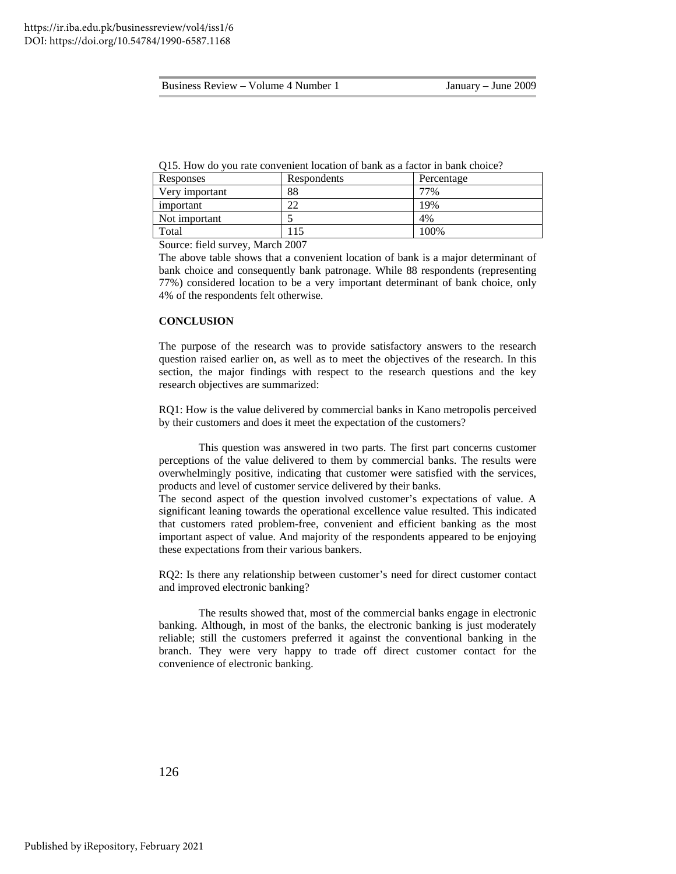| Business Review – Volume 4 Number 1 |  |
|-------------------------------------|--|
|-------------------------------------|--|

| Responses      | Respondents | Percentage |
|----------------|-------------|------------|
| Very important | 88          | 77%        |
| important      | n c         | 19%        |
| Not important  |             | 4%         |
| Total          |             | 100%       |

Source: field survey, March 2007

The above table shows that a convenient location of bank is a major determinant of bank choice and consequently bank patronage. While 88 respondents (representing 77%) considered location to be a very important determinant of bank choice, only 4% of the respondents felt otherwise.

#### **CONCLUSION**

The purpose of the research was to provide satisfactory answers to the research question raised earlier on, as well as to meet the objectives of the research. In this section, the major findings with respect to the research questions and the key research objectives are summarized:

RQ1: How is the value delivered by commercial banks in Kano metropolis perceived by their customers and does it meet the expectation of the customers?

This question was answered in two parts. The first part concerns customer perceptions of the value delivered to them by commercial banks. The results were overwhelmingly positive, indicating that customer were satisfied with the services, products and level of customer service delivered by their banks.

The second aspect of the question involved customer's expectations of value. A significant leaning towards the operational excellence value resulted. This indicated that customers rated problem-free, convenient and efficient banking as the most important aspect of value. And majority of the respondents appeared to be enjoying these expectations from their various bankers.

RQ2: Is there any relationship between customer's need for direct customer contact and improved electronic banking?

The results showed that, most of the commercial banks engage in electronic banking. Although, in most of the banks, the electronic banking is just moderately reliable; still the customers preferred it against the conventional banking in the branch. They were very happy to trade off direct customer contact for the convenience of electronic banking.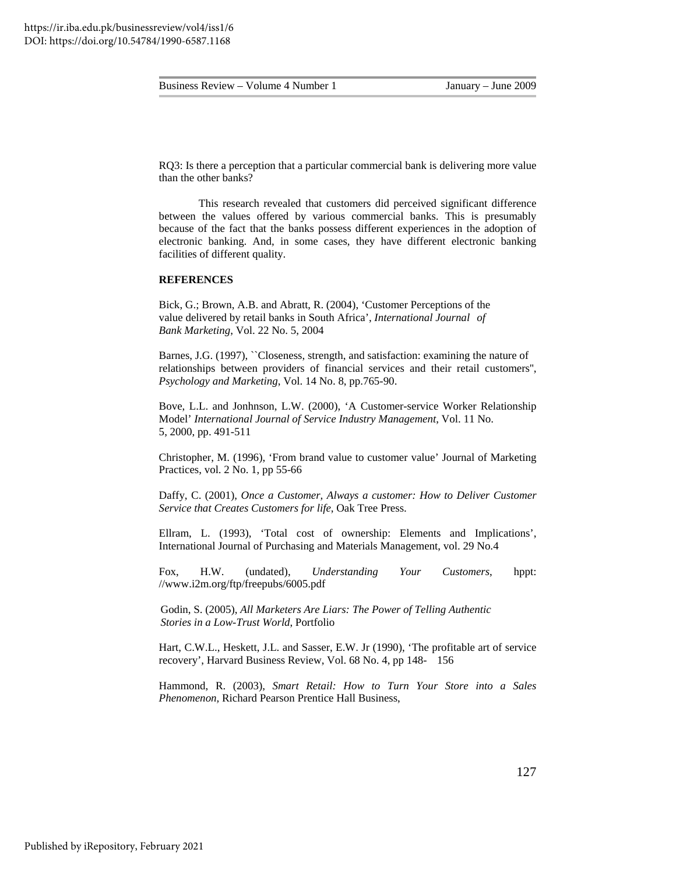RQ3: Is there a perception that a particular commercial bank is delivering more value than the other banks?

This research revealed that customers did perceived significant difference between the values offered by various commercial banks. This is presumably because of the fact that the banks possess different experiences in the adoption of electronic banking. And, in some cases, they have different electronic banking facilities of different quality.

#### **REFERENCES**

Bick, G.; Brown, A.B. and Abratt, R. (2004), 'Customer Perceptions of the value delivered by retail banks in South Africa', *International Journal of Bank Marketing*, Vol. 22 No. 5, 2004

Barnes, J.G. (1997), "Closeness, strength, and satisfaction: examining the nature of relationships between providers of financial services and their retail customers'', *Psychology and Marketing*, Vol. 14 No. 8, pp.765-90.

Bove, L.L. and Jonhnson, L.W. (2000), 'A Customer-service Worker Relationship Model' *International Journal of Service Industry Management*, Vol. 11 No. 5, 2000, pp. 491-511

Christopher, M. (1996), 'From brand value to customer value' Journal of Marketing Practices, vol. 2 No. 1, pp 55-66

Daffy, C. (2001), *Once a Customer, Always a customer: How to Deliver Customer Service that Creates Customers for life*, Oak Tree Press.

Ellram, L. (1993), 'Total cost of ownership: Elements and Implications', International Journal of Purchasing and Materials Management, vol. 29 No.4

Fox, H.W. (undated), *Understanding Your Customers*, hppt: //www.i2m.org/ftp/freepubs/6005.pdf

 Godin, S. (2005), *All Marketers Are Liars: The Power of Telling Authentic Stories in a Low-Trust World*, Portfolio

Hart, C.W.L., Heskett, J.L. and Sasser, E.W. Jr (1990), 'The profitable art of service recovery', Harvard Business Review, Vol. 68 No. 4, pp 148- 156

Hammond, R. (2003), *Smart Retail: How to Turn Your Store into a Sales Phenomenon,* Richard Pearson Prentice Hall Business,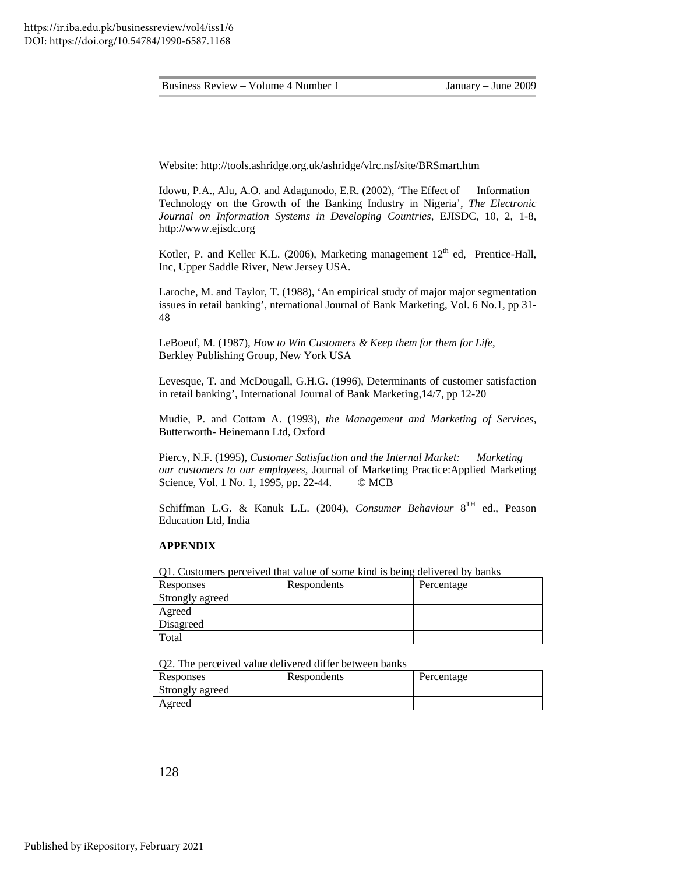Website: http://tools.ashridge.org.uk/ashridge/vlrc.nsf/site/BRSmart.htm

Idowu, P.A., Alu, A.O. and Adagunodo, E.R. (2002), 'The Effect of Information Technology on the Growth of the Banking Industry in Nigeria', *The Electronic Journal on Information Systems in Developing Countries*, EJISDC, 10, 2, 1-8, http://www.ejisdc.org

Kotler, P. and Keller K.L. (2006), Marketing management  $12<sup>th</sup>$  ed, Prentice-Hall, Inc, Upper Saddle River, New Jersey USA.

Laroche, M. and Taylor, T. (1988), 'An empirical study of major major segmentation issues in retail banking', nternational Journal of Bank Marketing, Vol. 6 No.1, pp 31- 48

LeBoeuf, M. (1987), *How to Win Customers & Keep them for them for Life*, Berkley Publishing Group, New York USA

Levesque, T. and McDougall, G.H.G. (1996), Determinants of customer satisfaction in retail banking', International Journal of Bank Marketing,14/7, pp 12-20

Mudie, P. and Cottam A. (1993), *the Management and Marketing of Services*, Butterworth- Heinemann Ltd, Oxford

Piercy, N.F. (1995), *Customer Satisfaction and the Internal Market: Marketing our customers to our employees*, Journal of Marketing Practice:Applied Marketing Science, Vol. 1 No. 1, 1995, pp. 22-44. © MCB

Schiffman L.G. & Kanuk L.L. (2004), *Consumer Behaviour* 8TH ed., Peason Education Ltd, India

#### **APPENDIX**

Q1. Customers perceived that value of some kind is being delivered by banks

| Responses       | Respondents | Percentage |
|-----------------|-------------|------------|
| Strongly agreed |             |            |
| Agreed          |             |            |
| Disagreed       |             |            |
| Total           |             |            |

Q2. The perceived value delivered differ between banks

| Responses       | Respondents | Percentage |
|-----------------|-------------|------------|
| Strongly agreed |             |            |
| Agreed          |             |            |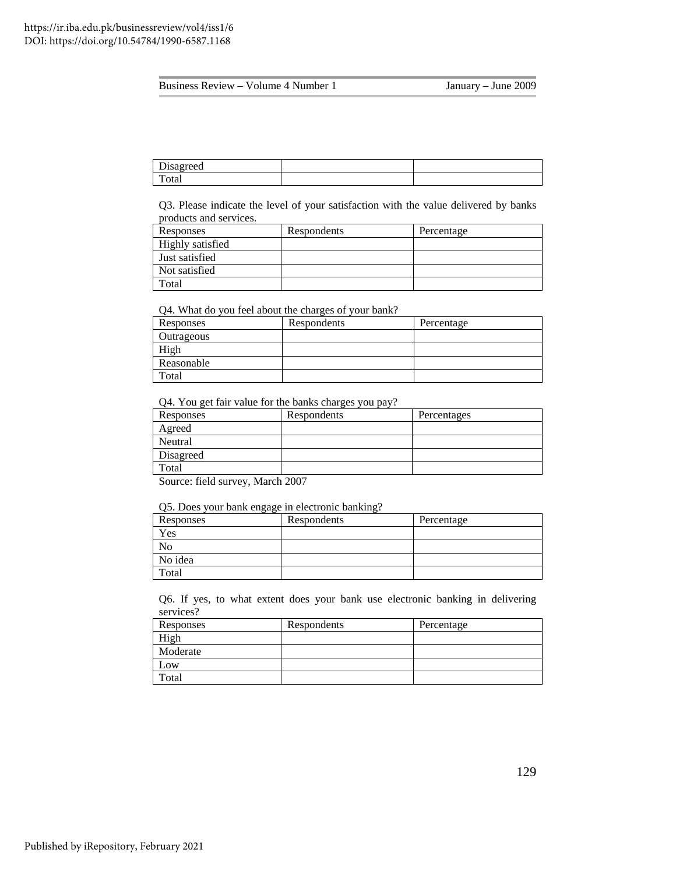| D<br>Disagreed |  |
|----------------|--|
| —<br>∡otai     |  |

Q3. Please indicate the level of your satisfaction with the value delivered by banks products and services.

| Responses        | Respondents | Percentage |
|------------------|-------------|------------|
| Highly satisfied |             |            |
| Just satisfied   |             |            |
| Not satisfied    |             |            |
| Total            |             |            |

#### Q4. What do you feel about the charges of your bank?

| Responses  | Respondents | Percentage |
|------------|-------------|------------|
| Outrageous |             |            |
| High       |             |            |
| Reasonable |             |            |
| Total      |             |            |

Q4. You get fair value for the banks charges you pay?

| Responses | Respondents | Percentages |
|-----------|-------------|-------------|
| Agreed    |             |             |
| Neutral   |             |             |
| Disagreed |             |             |
| Total     |             |             |

Source: field survey, March 2007

Q5. Does your bank engage in electronic banking?

| Responses | Respondents | Percentage |
|-----------|-------------|------------|
| Yes       |             |            |
|           |             |            |
| No idea   |             |            |
| Total     |             |            |

Q6. If yes, to what extent does your bank use electronic banking in delivering services?

| Responses | Respondents | Percentage |
|-----------|-------------|------------|
| High      |             |            |
| Moderate  |             |            |
| Low       |             |            |
| Total     |             |            |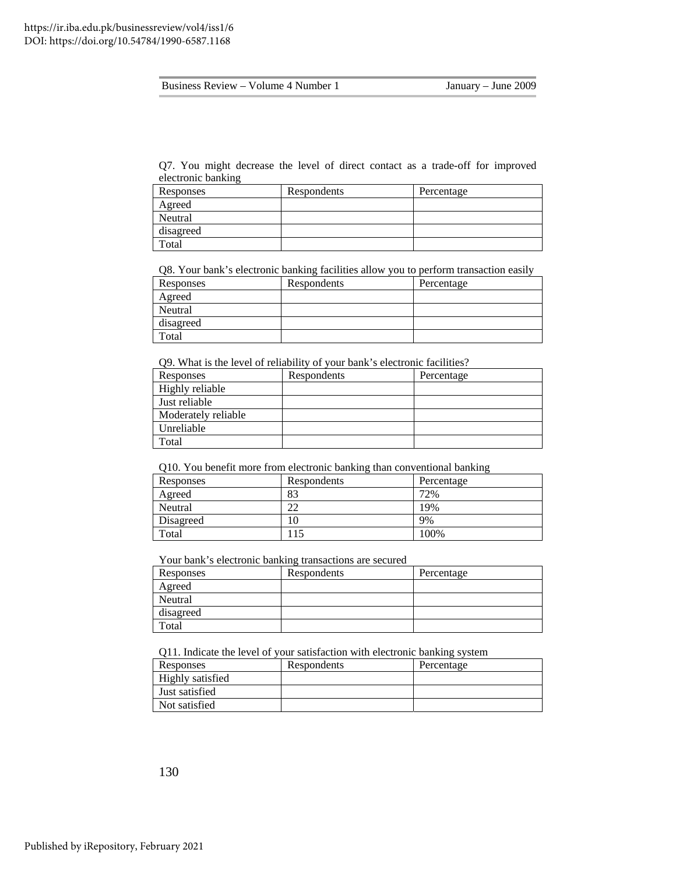Q7. You might decrease the level of direct contact as a trade-off for improved electronic banking

| Responses | Respondents | Percentage |
|-----------|-------------|------------|
| Agreed    |             |            |
| Neutral   |             |            |
| disagreed |             |            |
| Total     |             |            |

Q8. Your bank's electronic banking facilities allow you to perform transaction easily

| Responses | Respondents | Percentage |
|-----------|-------------|------------|
| Agreed    |             |            |
| Neutral   |             |            |
| disagreed |             |            |
| Total     |             |            |

Q9. What is the level of reliability of your bank's electronic facilities?

| Responses           | Respondents | Percentage |
|---------------------|-------------|------------|
| Highly reliable     |             |            |
| Just reliable       |             |            |
| Moderately reliable |             |            |
| Unreliable          |             |            |
| Total               |             |            |

Q10. You benefit more from electronic banking than conventional banking

| Responses | Respondents | Percentage |
|-----------|-------------|------------|
| Agreed    | 83          | 72%        |
| Neutral   |             | 19%        |
| Disagreed |             | 9%         |
| Total     | 15          | 100%       |

Your bank's electronic banking transactions are secured

| Responses | Respondents | Percentage |
|-----------|-------------|------------|
| Agreed    |             |            |
| Neutral   |             |            |
| disagreed |             |            |
| Total     |             |            |

Q11. Indicate the level of your satisfaction with electronic banking system

| Responses               | Respondents | Percentage |
|-------------------------|-------------|------------|
| <b>Highly satisfied</b> |             |            |
| Just satisfied          |             |            |
| Not satisfied           |             |            |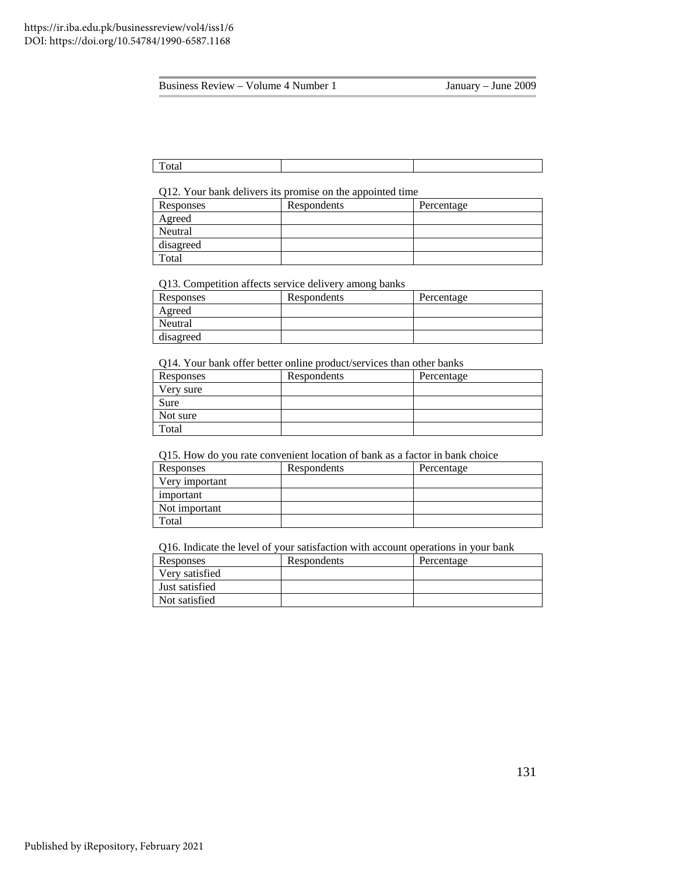Total

Q12. Your bank delivers its promise on the appointed time

| Responses | Respondents | Percentage |
|-----------|-------------|------------|
| Agreed    |             |            |
| Neutral   |             |            |
| disagreed |             |            |
| Total     |             |            |

Q13. Competition affects service delivery among banks

| Responses | Respondents | Percentage |
|-----------|-------------|------------|
| Agreed    |             |            |
| Neutral   |             |            |
| disagreed |             |            |

Q14. Your bank offer better online product/services than other banks

| Responses | Respondents | Percentage |
|-----------|-------------|------------|
| Very sure |             |            |
| Sure      |             |            |
| Not sure  |             |            |
| Total     |             |            |
|           |             |            |

Q15. How do you rate convenient location of bank as a factor in bank choice

| Responses      | Respondents | Percentage |
|----------------|-------------|------------|
| Very important |             |            |
| important      |             |            |
| Not important  |             |            |
| Total          |             |            |

Q16. Indicate the level of your satisfaction with account operations in your bank

| Responses      | Respondents | Percentage |
|----------------|-------------|------------|
| Very satisfied |             |            |
| Just satisfied |             |            |
| Not satisfied  |             |            |